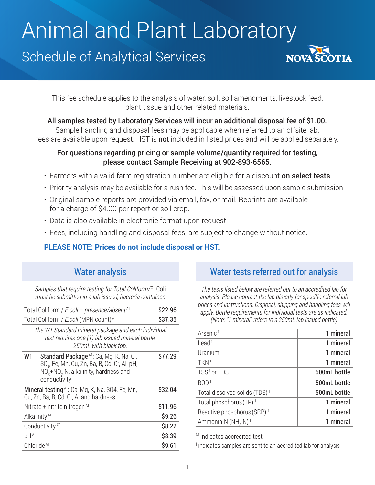# Animal and Plant Laboratory

# Schedule of Analytical Services



This fee schedule applies to the analysis of water, soil, soil amendments, livestock feed, plant tissue and other related materials.

All samples tested by Laboratory Services will incur an additional disposal fee of \$1.00.

Sample handling and disposal fees may be applicable when referred to an offsite lab; fees are available upon request. HST is **not** included in listed prices and will be applied separately.

#### For questions regarding pricing or sample volume/quantity required for testing, please contact Sample Receiving at 902-893-6565.

- Farmers with a valid farm registration number are eligible for a discount on select tests.
- Priority analysis may be available for a rush fee. This will be assessed upon sample submission.
- Original sample reports are provided via email, fax, or mail. Reprints are available for a charge of \$4.00 per report or soil crop.
- Data is also available in electronic format upon request.
- Fees, including handling and disposal fees, are subject to change without notice.

#### **PLEASE NOTE: Prices do not include disposal or HST.**

## Water analysis

*Samples that require testing for Total Coliform/*E. Coli *must be submitted in a lab issued, bacteria container.*

| Total Coliform / E.coli – presence/absent $AT$                                                                                   |                                                                                                                                                                           | \$22.96 |
|----------------------------------------------------------------------------------------------------------------------------------|---------------------------------------------------------------------------------------------------------------------------------------------------------------------------|---------|
| Total Coliform / E.coli (MPN count) AT                                                                                           |                                                                                                                                                                           | \$37.35 |
| The W1 Standard mineral package and each individual<br>test requires one (1) lab issued mineral bottle,<br>250mL with black top. |                                                                                                                                                                           |         |
| W1                                                                                                                               | Standard Package <sup>AT</sup> : Ca, Mq, K, Na, Cl,<br>SO <sub>n</sub> , Fe, Mn, Cu, Zn, Ba, B, Cd, Cr, Al, pH,<br>$NO3+NO2-N$ , alkalinity, hardness and<br>conductivity | \$77.29 |
| <b>Mineral testing</b> $AT$ : Ca, Mg, K, Na, SO4, Fe, Mn,<br>Cu, Zn, Ba, B, Cd, Cr, Al and hardness                              |                                                                                                                                                                           | \$32.04 |
| Nitrate + nitrite nitrogen $AT$                                                                                                  |                                                                                                                                                                           | \$11.96 |
| Alkalinity <sup>AT</sup>                                                                                                         |                                                                                                                                                                           | \$9.26  |
| Conductivity <sup>AT</sup>                                                                                                       |                                                                                                                                                                           | \$8.22  |
| pHAT                                                                                                                             |                                                                                                                                                                           | \$8.39  |
| Chloride <sup>AT</sup>                                                                                                           |                                                                                                                                                                           | \$9.61  |
|                                                                                                                                  |                                                                                                                                                                           |         |

## Water tests referred out for analysis

*The tests listed below are referred out to an accredited lab for analysis. Please contact the lab directly for specific referral lab prices and instructions. Disposal, shipping and handling fees will apply. Bottle requirements for individual tests are as indicated. (Note: "1 mineral" refers to a 250mL lab-issued bottle)*

| Arsenic <sup>1</sup>                        | 1 mineral    |
|---------------------------------------------|--------------|
| Lead <sup>1</sup>                           | 1 mineral    |
| Uranium <sup>1</sup>                        | 1 mineral    |
| TKN <sup>1</sup>                            | 1 mineral    |
| TSS <sup>1</sup> or TDS <sup>1</sup>        | 500mL bottle |
| BOD <sup>1</sup>                            | 500mL bottle |
| Total dissolved solids (TDS) <sup>1</sup>   | 500mL bottle |
| Total phosphorus (TP) <sup>1</sup>          | 1 mineral    |
| Reactive phosphorus (SRP) <sup>1</sup>      | 1 mineral    |
| Ammonia-N (NH <sub>3</sub> -N) <sup>1</sup> | 1 mineral    |
|                                             |              |

AT indicates accredited test

<sup>1</sup> indicates samples are sent to an accredited lab for analysis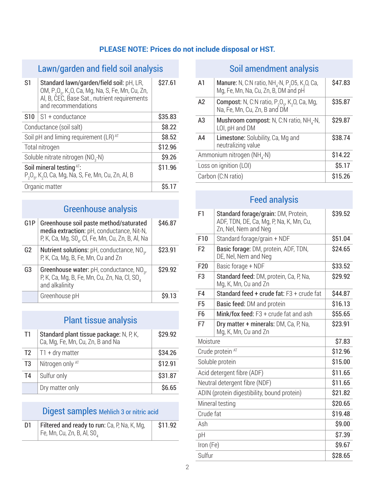### **PLEASE NOTE: Prices do not include disposal or HST.**

## Lawn/garden and field soil analysis

| S1                                                                                              | Standard lawn/garden/field soil: pH, LR,<br>OM, P <sub>2</sub> O <sub>5</sub> , K <sub>2</sub> O, Ca, Mg, Na, S, Fe, Mn, Cu, Zn,<br>Al, B, CEC, Base Sat., nutrient requirements<br>and recommendations | \$27.61 |
|-------------------------------------------------------------------------------------------------|---------------------------------------------------------------------------------------------------------------------------------------------------------------------------------------------------------|---------|
|                                                                                                 | $S10$   S1 + conductance                                                                                                                                                                                | \$35.83 |
| Conductance (soil salt)                                                                         |                                                                                                                                                                                                         | \$8.22  |
| Soil pH and liming requirement (LR) AT                                                          |                                                                                                                                                                                                         | \$8.52  |
| Total nitrogen                                                                                  |                                                                                                                                                                                                         | \$12.96 |
| Soluble nitrate nitrogen (NO <sub>3</sub> -N)                                                   |                                                                                                                                                                                                         | \$9.26  |
| Soil mineral testing AT:<br>$P_2O_{5}$ , K <sub>2</sub> O, Ca, Mg, Na, S, Fe, Mn, Cu, Zn, Al, B |                                                                                                                                                                                                         | \$11.96 |
|                                                                                                 | Organic matter                                                                                                                                                                                          | \$5.17  |

## Greenhouse analysis

| G <sub>1</sub> P | Greenhouse soil paste method/saturated<br>media extraction: pH, conductance, Nit-N,<br>P, K, Ca, Mg, S0 <sub>4</sub> , Cl, Fe, Mn, Cu, Zn, B, Al, Na | \$46.87 |
|------------------|------------------------------------------------------------------------------------------------------------------------------------------------------|---------|
| G <sub>2</sub>   | <b>Nutrient solutions:</b> pH, conductance, NO <sub>2</sub> ,<br>P, K, Ca, Mg, B, Fe, Mn, Cu and Zn                                                  | \$23.91 |
| G <sub>3</sub>   | Greenhouse water: $pH$ , conductance, $NO3$ ,<br>P, K, Ca, Mg, B, Fe, Mn, Cu, Zn, Na, Cl, SO<br>and alkalinity                                       | \$29.92 |
|                  | Greenhouse pH                                                                                                                                        | S9.13   |

## Plant tissue analysis

| T1             | Standard plant tissue package: N, P, K,<br>Ca, Mg, Fe, Mn, Cu, Zn, B and Na | \$29.92 |
|----------------|-----------------------------------------------------------------------------|---------|
| T <sub>2</sub> | $\vert$ T1 + dry matter                                                     | \$34.26 |
| T <sub>3</sub> | Nitrogen only AT                                                            | \$12.91 |
| T <sub>4</sub> | Sulfur only                                                                 | \$31.87 |
|                | Dry matter only                                                             | \$6.65  |

## Digest samples Mehlich 3 or nitric acid

| <b>Filtered and ready to run:</b> Ca, P, Na, K, Mg, | \$11.92 |
|-----------------------------------------------------|---------|
| Fe, Mn, Cu, Zn, B, Al, SO,                          |         |

## Soil amendment analysis

| A1                                     | <b>Manure:</b> N, C:N ratio, NH <sub>4</sub> -N, P <sub>2</sub> O5, K <sub>2</sub> O, Ca,<br>Mg, Fe, Mn, Na, Cu, Zn, B, DM and pH | \$47.83 |
|----------------------------------------|-----------------------------------------------------------------------------------------------------------------------------------|---------|
| A2                                     | <b>Compost:</b> N, C:N ratio, $P_2O_6$ , K <sub>2</sub> O, Ca, Mg,<br>Na, Fe, Mn, Cu, Zn, B and DM                                | \$35.87 |
| A3                                     | <b>Mushroom compost:</b> N, C:N ratio, $NH_{4}$ -N,<br>LOI, pH and DM                                                             | \$29.87 |
| A <sub>4</sub>                         | Limestone: Solubility, Ca, Mg and<br>neutralizing value                                                                           | \$38.74 |
| Ammonium nitrogen (NH <sub>4</sub> -N) |                                                                                                                                   | \$14.22 |
| Loss on ignition (LOI)                 |                                                                                                                                   | \$5.17  |
| Carbon (C:N ratio)                     |                                                                                                                                   | \$15.26 |
|                                        |                                                                                                                                   |         |

## Feed analysis

| F1                                          | Standard forage/grain: DM, Protein,<br>ADF, TDN, DE, Ca, Mg, P, Na, K, Mn, Cu,<br>Zn, Nel, Nem and Neg | \$39.52 |
|---------------------------------------------|--------------------------------------------------------------------------------------------------------|---------|
| F10                                         | Standard forage/grain + NDF                                                                            | \$51.04 |
| F <sub>2</sub>                              | Basic forage: DM, protein, ADF, TDN,<br>DE, Nel, Nem and Neg                                           | \$24.65 |
| F <sub>20</sub>                             | Basic forage + NDF                                                                                     | \$33.52 |
| F <sub>3</sub>                              | Standard feed: DM, protein, Ca, P, Na,<br>Mg, K, Mn, Cu and Zn                                         | \$29.92 |
| F4                                          | Standard feed + crude fat: F3 + crude fat                                                              | \$44.87 |
| F <sub>5</sub>                              | Basic feed: DM and protein                                                                             | \$16.13 |
| F <sub>6</sub>                              | Mink/fox feed: F3 + crude fat and ash                                                                  | \$55.65 |
| F7                                          | Dry matter + minerals: DM, Ca, P, Na,<br>Mg, K, Mn, Cu and Zn                                          | \$23.91 |
| Moisture                                    |                                                                                                        | \$7.83  |
|                                             | Crude protein AT                                                                                       | \$12.96 |
| Soluble protein                             |                                                                                                        | \$15.00 |
| Acid detergent fibre (ADF)                  |                                                                                                        | \$11.65 |
|                                             | Neutral detergent fibre (NDF)                                                                          | \$11.65 |
| ADIN (protein digestibility, bound protein) |                                                                                                        | \$21.82 |
| Mineral testing                             |                                                                                                        | \$20.65 |
| Crude fat                                   |                                                                                                        | \$19.48 |
| Ash                                         |                                                                                                        | \$9.00  |
| рH                                          |                                                                                                        | \$7.39  |
| Iron (Fe)                                   |                                                                                                        | \$9.67  |
| Sulfur                                      |                                                                                                        | \$28.65 |